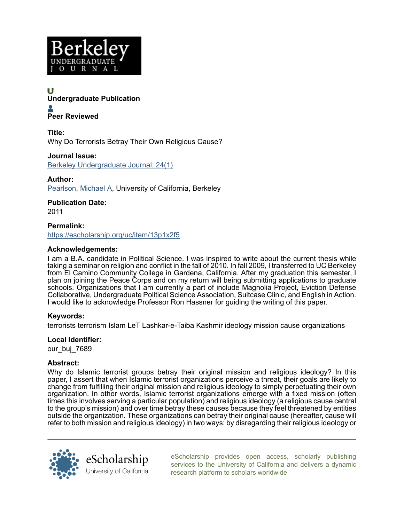

# Undergraduate Publication Peer Reviewed

Title: Why Do Terrorists Betray Their Own Religious Cause?

# Journal Issue:

[Berkeley Undergraduate Journal, 24\(1\)](https://escholarship.org/uc/our_buj?volume=24;issue=1)

Author: [Pearlson, Michael A,](https://escholarship.org/uc/search?creator=Pearlson%2C%20Michael%20A) University of California, Berkeley

# Publication Date:

2011

Permalink: <https://escholarship.org/uc/item/13p1x2f5>

## Acknowledgements:

I am a B.A. candidate in Political Science. I was inspired to write about the current thesis while taking a seminar on religion and conflict in the fall of 2010. In fall 2009, I transferred to UC Berkeley from El Camino Community College in Gardena, California. After my graduation this semester, I plan on joining the Peace Corps and on my return will being submitting applications to graduate schools. Organizations that I am currently a part of include Magnolia Project, Eviction Defense Collaborative, Undergraduate Political Science Association, Suitcase Clinic, and English in Action. I would like to acknowledge Professor Ron Hassner for guiding the writing of this paper.

## Keywords:

terrorists terrorism Islam LeT Lashkar-e-Taiba Kashmir ideology mission cause organizations

## Local Identifier:

our buj 7689

# Abstract:

Why do Islamic terrorist groups betray their original mission and religious ideology? In this paper, I assert that when Islamic terrorist organizations perceive a threat, their goals are likely to change from fulfilling their original mission and religious ideology to simply perpetuating their own organization. In other words, Islamic terrorist organizations emerge with a fixed mission (often times this involves serving a particular population) and religious ideology (a religious cause central to the group's mission) and over time betray these causes because they feel threatened by entities outside the organization. These organizations can betray their original cause (hereafter, cause will refer to both mission and religious ideology) in two ways: by disregarding their religious ideology or



[eScholarship provides open access, scholarly publishing](https://escholarship.org) [services to the University of California and delivers a dynamic](https://escholarship.org) [research platform to scholars worldwide.](https://escholarship.org)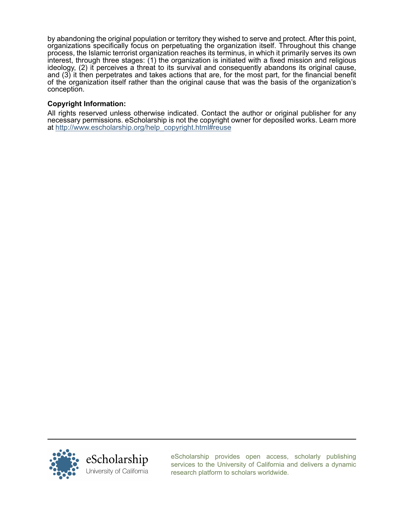by abandoning the original population or territory they wished to serve and protect. After this point, organizations specifically focus on perpetuating the organization itself. Throughout this change process, the Islamic terrorist organization reaches its terminus, in which it primarily serves its own interest, through three stages: (1) the organization is initiated with a fixed mission and religious ideology, (2) it perceives a threat to its survival and consequently abandons its original cause, and (3) it then perpetrates and takes actions that are, for the most part, for the financial benefit of the organization itself rather than the original cause that was the basis of the organization's conception.

# Copyright Information:

All rights reserved unless otherwise indicated. Contact the author or original publisher for any necessary permissions. eScholarship is not the copyright owner for deposited works. Learn more at [http://www.escholarship.org/help\\_copyright.html#reuse](http://www.escholarship.org/help_copyright.html#reuse)



[eScholarship provides open access, scholarly publishing](https://escholarship.org) [services to the University of California and delivers a dynamic](https://escholarship.org) [research platform to scholars worldwide.](https://escholarship.org)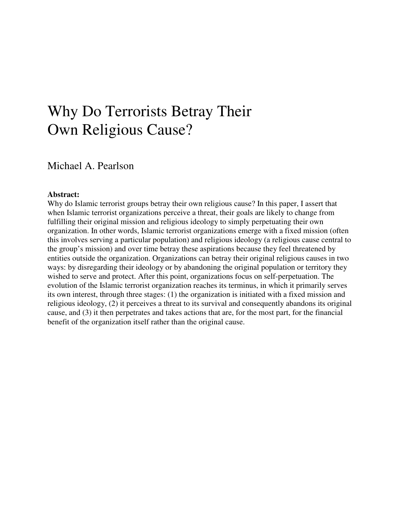# Why Do Terrorists Betray Their Own Religious Cause?

# Michael A. Pearlson

#### **Abstract:**

Why do Islamic terrorist groups betray their own religious cause? In this paper, I assert that when Islamic terrorist organizations perceive a threat, their goals are likely to change from fulfilling their original mission and religious ideology to simply perpetuating their own organization. In other words, Islamic terrorist organizations emerge with a fixed mission (often this involves serving a particular population) and religious ideology (a religious cause central to the group's mission) and over time betray these aspirations because they feel threatened by entities outside the organization. Organizations can betray their original religious causes in two ways: by disregarding their ideology or by abandoning the original population or territory they wished to serve and protect. After this point, organizations focus on self-perpetuation. The evolution of the Islamic terrorist organization reaches its terminus, in which it primarily serves its own interest, through three stages: (1) the organization is initiated with a fixed mission and religious ideology, (2) it perceives a threat to its survival and consequently abandons its original cause, and (3) it then perpetrates and takes actions that are, for the most part, for the financial benefit of the organization itself rather than the original cause.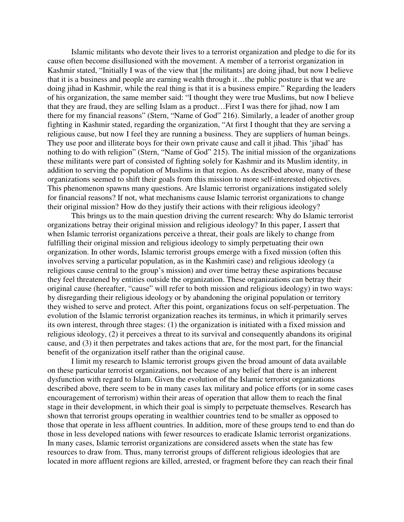Islamic militants who devote their lives to a terrorist organization and pledge to die for its cause often become disillusioned with the movement. A member of a terrorist organization in Kashmir stated, "Initially I was of the view that [the militants] are doing jihad, but now I believe that it is a business and people are earning wealth through it…the public posture is that we are doing jihad in Kashmir, while the real thing is that it is a business empire." Regarding the leaders of his organization, the same member said: "I thought they were true Muslims, but now I believe that they are fraud, they are selling Islam as a product…First I was there for jihad, now I am there for my financial reasons" (Stern, "Name of God" 216). Similarly, a leader of another group fighting in Kashmir stated, regarding the organization, "At first I thought that they are serving a religious cause, but now I feel they are running a business. They are suppliers of human beings. They use poor and illiterate boys for their own private cause and call it jihad. This 'jihad' has nothing to do with religion" (Stern, "Name of God" 215). The initial mission of the organizations these militants were part of consisted of fighting solely for Kashmir and its Muslim identity, in addition to serving the population of Muslims in that region. As described above, many of these organizations seemed to shift their goals from this mission to more self-interested objectives. This phenomenon spawns many questions. Are Islamic terrorist organizations instigated solely for financial reasons? If not, what mechanisms cause Islamic terrorist organizations to change their original mission? How do they justify their actions with their religious ideology?

 This brings us to the main question driving the current research: Why do Islamic terrorist organizations betray their original mission and religious ideology? In this paper, I assert that when Islamic terrorist organizations perceive a threat, their goals are likely to change from fulfilling their original mission and religious ideology to simply perpetuating their own organization. In other words, Islamic terrorist groups emerge with a fixed mission (often this involves serving a particular population, as in the Kashmiri case) and religious ideology (a religious cause central to the group's mission) and over time betray these aspirations because they feel threatened by entities outside the organization. These organizations can betray their original cause (hereafter, "cause" will refer to both mission and religious ideology) in two ways: by disregarding their religious ideology or by abandoning the original population or territory they wished to serve and protect. After this point, organizations focus on self-perpetuation. The evolution of the Islamic terrorist organization reaches its terminus, in which it primarily serves its own interest, through three stages: (1) the organization is initiated with a fixed mission and religious ideology, (2) it perceives a threat to its survival and consequently abandons its original cause, and (3) it then perpetrates and takes actions that are, for the most part, for the financial benefit of the organization itself rather than the original cause.

 I limit my research to Islamic terrorist groups given the broad amount of data available on these particular terrorist organizations, not because of any belief that there is an inherent dysfunction with regard to Islam. Given the evolution of the Islamic terrorist organizations described above, there seem to be in many cases lax military and police efforts (or in some cases encouragement of terrorism) within their areas of operation that allow them to reach the final stage in their development, in which their goal is simply to perpetuate themselves. Research has shown that terrorist groups operating in wealthier countries tend to be smaller as opposed to those that operate in less affluent countries. In addition, more of these groups tend to end than do those in less developed nations with fewer resources to eradicate Islamic terrorist organizations. In many cases, Islamic terrorist organizations are considered assets when the state has few resources to draw from. Thus, many terrorist groups of different religious ideologies that are located in more affluent regions are killed, arrested, or fragment before they can reach their final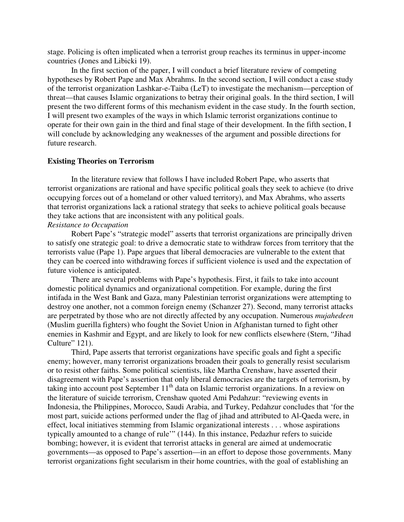stage. Policing is often implicated when a terrorist group reaches its terminus in upper-income countries (Jones and Libicki 19).

 In the first section of the paper, I will conduct a brief literature review of competing hypotheses by Robert Pape and Max Abrahms. In the second section, I will conduct a case study of the terrorist organization Lashkar-e-Taiba (LeT) to investigate the mechanism—perception of threat—that causes Islamic organizations to betray their original goals. In the third section, I will present the two different forms of this mechanism evident in the case study. In the fourth section, I will present two examples of the ways in which Islamic terrorist organizations continue to operate for their own gain in the third and final stage of their development. In the fifth section, I will conclude by acknowledging any weaknesses of the argument and possible directions for future research.

#### **Existing Theories on Terrorism**

 In the literature review that follows I have included Robert Pape, who asserts that terrorist organizations are rational and have specific political goals they seek to achieve (to drive occupying forces out of a homeland or other valued territory), and Max Abrahms, who asserts that terrorist organizations lack a rational strategy that seeks to achieve political goals because they take actions that are inconsistent with any political goals. *Resistance to Occupation* 

 Robert Pape's "strategic model" asserts that terrorist organizations are principally driven to satisfy one strategic goal: to drive a democratic state to withdraw forces from territory that the terrorists value (Pape 1). Pape argues that liberal democracies are vulnerable to the extent that they can be coerced into withdrawing forces if sufficient violence is used and the expectation of future violence is anticipated.

 There are several problems with Pape's hypothesis. First, it fails to take into account domestic political dynamics and organizational competition. For example, during the first intifada in the West Bank and Gaza, many Palestinian terrorist organizations were attempting to destroy one another, not a common foreign enemy (Schanzer 27). Second, many terrorist attacks are perpetrated by those who are not directly affected by any occupation. Numerous *mujahedeen*  (Muslim guerilla fighters) who fought the Soviet Union in Afghanistan turned to fight other enemies in Kashmir and Egypt, and are likely to look for new conflicts elsewhere (Stern, "Jihad Culture" 121).

 Third, Pape asserts that terrorist organizations have specific goals and fight a specific enemy; however, many terrorist organizations broaden their goals to generally resist secularism or to resist other faiths. Some political scientists, like Martha Crenshaw, have asserted their disagreement with Pape's assertion that only liberal democracies are the targets of terrorism, by taking into account post September  $11<sup>th</sup>$  data on Islamic terrorist organizations. In a review on the literature of suicide terrorism, Crenshaw quoted Ami Pedahzur: "reviewing events in Indonesia, the Philippines, Morocco, Saudi Arabia, and Turkey, Pedahzur concludes that 'for the most part, suicide actions performed under the flag of jihad and attributed to Al-Qaeda were, in effect, local initiatives stemming from Islamic organizational interests . . . whose aspirations typically amounted to a change of rule'" (144). In this instance, Pedazhur refers to suicide bombing; however, it is evident that terrorist attacks in general are aimed at undemocratic governments—as opposed to Pape's assertion—in an effort to depose those governments. Many terrorist organizations fight secularism in their home countries, with the goal of establishing an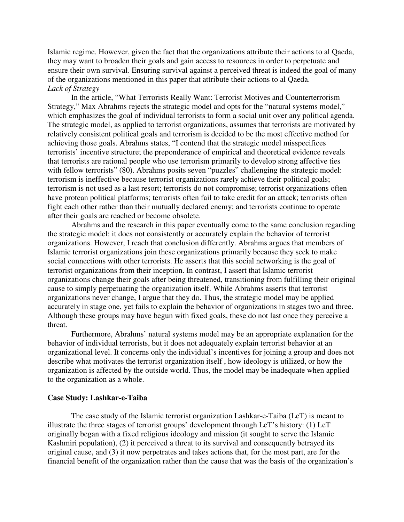Islamic regime. However, given the fact that the organizations attribute their actions to al Qaeda, they may want to broaden their goals and gain access to resources in order to perpetuate and ensure their own survival. Ensuring survival against a perceived threat is indeed the goal of many of the organizations mentioned in this paper that attribute their actions to al Qaeda. *Lack of Strategy*

 In the article, "What Terrorists Really Want: Terrorist Motives and Counterterrorism Strategy," Max Abrahms rejects the strategic model and opts for the "natural systems model," which emphasizes the goal of individual terrorists to form a social unit over any political agenda. The strategic model, as applied to terrorist organizations, assumes that terrorists are motivated by relatively consistent political goals and terrorism is decided to be the most effective method for achieving those goals. Abrahms states, "I contend that the strategic model misspecifices terrorists' incentive structure; the preponderance of empirical and theoretical evidence reveals that terrorists are rational people who use terrorism primarily to develop strong affective ties with fellow terrorists" (80). Abrahms posits seven "puzzles" challenging the strategic model: terrorism is ineffective because terrorist organizations rarely achieve their political goals; terrorism is not used as a last resort; terrorists do not compromise; terrorist organizations often have protean political platforms; terrorists often fail to take credit for an attack; terrorists often fight each other rather than their mutually declared enemy; and terrorists continue to operate after their goals are reached or become obsolete.

 Abrahms and the research in this paper eventually come to the same conclusion regarding the strategic model: it does not consistently or accurately explain the behavior of terrorist organizations. However, I reach that conclusion differently. Abrahms argues that members of Islamic terrorist organizations join these organizations primarily because they seek to make social connections with other terrorists. He asserts that this social networking is the goal of terrorist organizations from their inception. In contrast, I assert that Islamic terrorist organizations change their goals after being threatened, transitioning from fulfilling their original cause to simply perpetuating the organization itself. While Abrahms asserts that terrorist organizations never change, I argue that they do. Thus, the strategic model may be applied accurately in stage one, yet fails to explain the behavior of organizations in stages two and three. Although these groups may have begun with fixed goals, these do not last once they perceive a threat.

 Furthermore, Abrahms' natural systems model may be an appropriate explanation for the behavior of individual terrorists, but it does not adequately explain terrorist behavior at an organizational level. It concerns only the individual's incentives for joining a group and does not describe what motivates the terrorist organization itself , how ideology is utilized, or how the organization is affected by the outside world. Thus, the model may be inadequate when applied to the organization as a whole.

#### **Case Study: Lashkar-e-Taiba**

 The case study of the Islamic terrorist organization Lashkar-e-Taiba (LeT) is meant to illustrate the three stages of terrorist groups' development through LeT's history: (1) LeT originally began with a fixed religious ideology and mission (it sought to serve the Islamic Kashmiri population), (2) it perceived a threat to its survival and consequently betrayed its original cause, and (3) it now perpetrates and takes actions that, for the most part, are for the financial benefit of the organization rather than the cause that was the basis of the organization's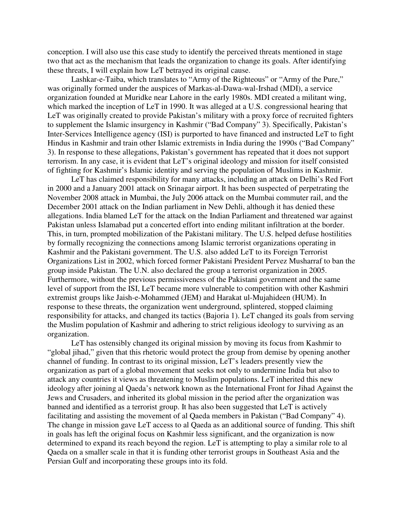conception. I will also use this case study to identify the perceived threats mentioned in stage two that act as the mechanism that leads the organization to change its goals. After identifying these threats, I will explain how LeT betrayed its original cause.

 Lashkar-e-Taiba, which translates to "Army of the Righteous" or "Army of the Pure," was originally formed under the auspices of Markas-al-Dawa-wal-Irshad (MDI), a service organization founded at Muridke near Lahore in the early 1980s. MDI created a militant wing, which marked the inception of LeT in 1990. It was alleged at a U.S. congressional hearing that LeT was originally created to provide Pakistan's military with a proxy force of recruited fighters to supplement the Islamic insurgency in Kashmir ("Bad Company" 3). Specifically, Pakistan's Inter-Services Intelligence agency (ISI) is purported to have financed and instructed LeT to fight Hindus in Kashmir and train other Islamic extremists in India during the 1990s ("Bad Company" 3). In response to these allegations, Pakistan's government has repeated that it does not support terrorism. In any case, it is evident that LeT's original ideology and mission for itself consisted of fighting for Kashmir's Islamic identity and serving the population of Muslims in Kashmir.

 LeT has claimed responsibility for many attacks, including an attack on Delhi's Red Fort in 2000 and a January 2001 attack on Srinagar airport. It has been suspected of perpetrating the November 2008 attack in Mumbai, the July 2006 attack on the Mumbai commuter rail, and the December 2001 attack on the Indian parliament in New Dehli, although it has denied these allegations. India blamed LeT for the attack on the Indian Parliament and threatened war against Pakistan unless Islamabad put a concerted effort into ending militant infiltration at the border. This, in turn, prompted mobilization of the Pakistani military. The U.S. helped defuse hostilities by formally recognizing the connections among Islamic terrorist organizations operating in Kashmir and the Pakistani government. The U.S. also added LeT to its Foreign Terrorist Organizations List in 2002, which forced former Pakistani President Pervez Musharraf to ban the group inside Pakistan. The U.N. also declared the group a terrorist organization in 2005. Furthermore, without the previous permissiveness of the Pakistani government and the same level of support from the ISI, LeT became more vulnerable to competition with other Kashmiri extremist groups like Jaish-e-Mohammed (JEM) and Harakat ul-Mujahideen (HUM). In response to these threats, the organization went underground, splintered, stopped claiming responsibility for attacks, and changed its tactics (Bajoria 1). LeT changed its goals from serving the Muslim population of Kashmir and adhering to strict religious ideology to surviving as an organization.

 LeT has ostensibly changed its original mission by moving its focus from Kashmir to "global jihad," given that this rhetoric would protect the group from demise by opening another channel of funding. In contrast to its original mission, LeT's leaders presently view the organization as part of a global movement that seeks not only to undermine India but also to attack any countries it views as threatening to Muslim populations. LeT inherited this new ideology after joining al Qaeda's network known as the International Front for Jihad Against the Jews and Crusaders, and inherited its global mission in the period after the organization was banned and identified as a terrorist group. It has also been suggested that LeT is actively facilitating and assisting the movement of al Qaeda members in Pakistan ("Bad Company" 4). The change in mission gave LeT access to al Qaeda as an additional source of funding. This shift in goals has left the original focus on Kashmir less significant, and the organization is now determined to expand its reach beyond the region. LeT is attempting to play a similar role to al Qaeda on a smaller scale in that it is funding other terrorist groups in Southeast Asia and the Persian Gulf and incorporating these groups into its fold.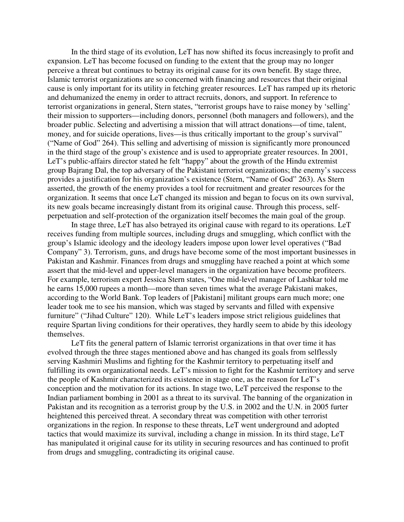In the third stage of its evolution, LeT has now shifted its focus increasingly to profit and expansion. LeT has become focused on funding to the extent that the group may no longer perceive a threat but continues to betray its original cause for its own benefit. By stage three, Islamic terrorist organizations are so concerned with financing and resources that their original cause is only important for its utility in fetching greater resources. LeT has ramped up its rhetoric and dehumanized the enemy in order to attract recruits, donors, and support. In reference to terrorist organizations in general, Stern states, "terrorist groups have to raise money by 'selling' their mission to supporters—including donors, personnel (both managers and followers), and the broader public. Selecting and advertising a mission that will attract donations—of time, talent, money, and for suicide operations, lives—is thus critically important to the group's survival" ("Name of God" 264). This selling and advertising of mission is significantly more pronounced in the third stage of the group's existence and is used to appropriate greater resources. In 2001, LeT's public-affairs director stated he felt "happy" about the growth of the Hindu extremist group Bajrang Dal, the top adversary of the Pakistani terrorist organizations; the enemy's success provides a justification for his organization's existence (Stern, "Name of God" 263). As Stern asserted, the growth of the enemy provides a tool for recruitment and greater resources for the organization. It seems that once LeT changed its mission and began to focus on its own survival, its new goals became increasingly distant from its original cause. Through this process, selfperpetuation and self-protection of the organization itself becomes the main goal of the group.

 In stage three, LeT has also betrayed its original cause with regard to its operations. LeT receives funding from multiple sources, including drugs and smuggling, which conflict with the group's Islamic ideology and the ideology leaders impose upon lower level operatives ("Bad Company" 3). Terrorism, guns, and drugs have become some of the most important businesses in Pakistan and Kashmir. Finances from drugs and smuggling have reached a point at which some assert that the mid-level and upper-level managers in the organization have become profiteers. For example, terrorism expert Jessica Stern states, "One mid-level manager of Lashkar told me he earns 15,000 rupees a month—more than seven times what the average Pakistani makes, according to the World Bank. Top leaders of [Pakistani] militant groups earn much more; one leader took me to see his mansion, which was staged by servants and filled with expensive furniture" ("Jihad Culture" 120). While LeT's leaders impose strict religious guidelines that require Spartan living conditions for their operatives, they hardly seem to abide by this ideology themselves.

 LeT fits the general pattern of Islamic terrorist organizations in that over time it has evolved through the three stages mentioned above and has changed its goals from selflessly serving Kashmiri Muslims and fighting for the Kashmir territory to perpetuating itself and fulfilling its own organizational needs. LeT's mission to fight for the Kashmir territory and serve the people of Kashmir characterized its existence in stage one, as the reason for LeT's conception and the motivation for its actions. In stage two, LeT perceived the response to the Indian parliament bombing in 2001 as a threat to its survival. The banning of the organization in Pakistan and its recognition as a terrorist group by the U.S. in 2002 and the U.N. in 2005 furter heightened this perceived threat. A secondary threat was competition with other terrorist organizations in the region. In response to these threats, LeT went underground and adopted tactics that would maximize its survival, including a change in mission. In its third stage, LeT has manipulated it original cause for its utility in securing resources and has continued to profit from drugs and smuggling, contradicting its original cause.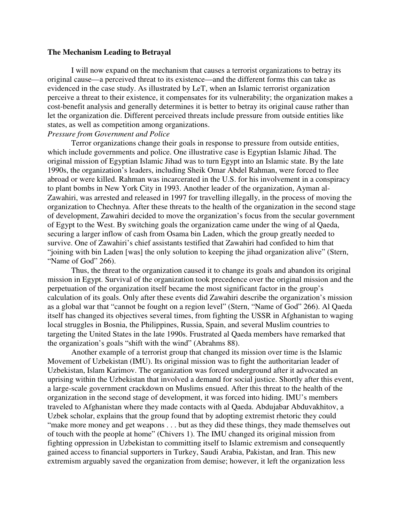#### **The Mechanism Leading to Betrayal**

 I will now expand on the mechanism that causes a terrorist organizations to betray its original cause—a perceived threat to its existence—and the different forms this can take as evidenced in the case study. As illustrated by LeT, when an Islamic terrorist organization perceive a threat to their existence, it compensates for its vulnerability; the organization makes a cost-benefit analysis and generally determines it is better to betray its original cause rather than let the organization die. Different perceived threats include pressure from outside entities like states, as well as competition among organizations.

## *Pressure from Government and Police*

 Terror organizations change their goals in response to pressure from outside entities, which include governments and police. One illustrative case is Egyptian Islamic Jihad. The original mission of Egyptian Islamic Jihad was to turn Egypt into an Islamic state. By the late 1990s, the organization's leaders, including Sheik Omar Abdel Rahman, were forced to flee abroad or were killed. Rahman was incarcerated in the U.S. for his involvement in a conspiracy to plant bombs in New York City in 1993. Another leader of the organization, Ayman al-Zawahiri, was arrested and released in 1997 for travelling illegally, in the process of moving the organization to Chechnya. After these threats to the health of the organization in the second stage of development, Zawahiri decided to move the organization's focus from the secular government of Egypt to the West. By switching goals the organization came under the wing of al Qaeda, securing a larger inflow of cash from Osama bin Laden, which the group greatly needed to survive. One of Zawahiri's chief assistants testified that Zawahiri had confided to him that "joining with bin Laden [was] the only solution to keeping the jihad organization alive" (Stern, "Name of God" 266).

 Thus, the threat to the organization caused it to change its goals and abandon its original mission in Egypt. Survival of the organization took precedence over the original mission and the perpetuation of the organization itself became the most significant factor in the group's calculation of its goals. Only after these events did Zawahiri describe the organization's mission as a global war that "cannot be fought on a region level" (Stern, "Name of God" 266). Al Qaeda itself has changed its objectives several times, from fighting the USSR in Afghanistan to waging local struggles in Bosnia, the Philippines, Russia, Spain, and several Muslim countries to targeting the United States in the late 1990s. Frustrated al Qaeda members have remarked that the organization's goals "shift with the wind" (Abrahms 88).

 Another example of a terrorist group that changed its mission over time is the Islamic Movement of Uzbekistan (IMU). Its original mission was to fight the authoritarian leader of Uzbekistan, Islam Karimov. The organization was forced underground after it advocated an uprising within the Uzbekistan that involved a demand for social justice. Shortly after this event, a large-scale government crackdown on Muslims ensued. After this threat to the health of the organization in the second stage of development, it was forced into hiding. IMU's members traveled to Afghanistan where they made contacts with al Qaeda. Abdujabar Abduvakhitov, a Uzbek scholar, explains that the group found that by adopting extremist rhetoric they could "make more money and get weapons . . . but as they did these things, they made themselves out of touch with the people at home" (Chivers 1). The IMU changed its original mission from fighting oppression in Uzbekistan to committing itself to Islamic extremism and consequently gained access to financial supporters in Turkey, Saudi Arabia, Pakistan, and Iran. This new extremism arguably saved the organization from demise; however, it left the organization less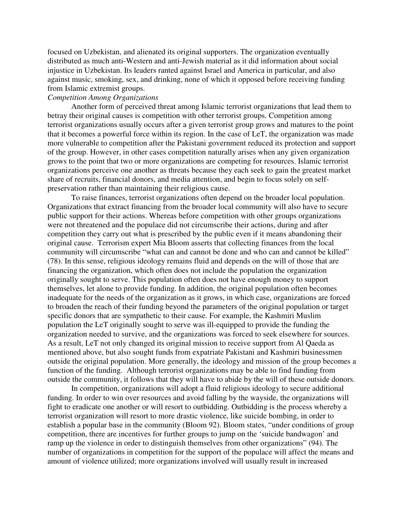focused on Uzbekistan, and alienated its original supporters. The organization eventually distributed as much anti-Western and anti-Jewish material as it did information about social injustice in Uzbekistan. Its leaders ranted against Israel and America in particular, and also against music, smoking, sex, and drinking, none of which it opposed before receiving funding from Islamic extremist groups.

#### *Competition Among Organizations*

 Another form of perceived threat among Islamic terrorist organizations that lead them to betray their original causes is competition with other terrorist groups. Competition among terrorist organizations usually occurs after a given terrorist group grows and matures to the point that it becomes a powerful force within its region. In the case of LeT, the organization was made more vulnerable to competition after the Pakistani government reduced its protection and support of the group. However, in other cases competition naturally arises when any given organization grows to the point that two or more organizations are competing for resources. Islamic terrorist organizations perceive one another as threats because they each seek to gain the greatest market share of recruits, financial donors, and media attention, and begin to focus solely on selfpreservation rather than maintaining their religious cause.

 To raise finances, terrorist organizations often depend on the broader local population. Organizations that extract financing from the broader local community will also have to secure public support for their actions. Whereas before competition with other groups organizations were not threatened and the populace did not circumscribe their actions, during and after competition they carry out what is prescribed by the public even if it means abandoning their original cause. Terrorism expert Mia Bloom asserts that collecting finances from the local community will circumscribe "what can and cannot be done and who can and cannot be killed" (78). In this sense, religious ideology remains fluid and depends on the will of those that are financing the organization, which often does not include the population the organization originally sought to serve. This population often does not have enough money to support themselves, let alone to provide funding. In addition, the original population often becomes inadequate for the needs of the organization as it grows, in which case, organizations are forced to broaden the reach of their funding beyond the parameters of the original population or target specific donors that are sympathetic to their cause. For example, the Kashmiri Muslim population the LeT originally sought to serve was ill-equipped to provide the funding the organization needed to survive, and the organizations was forced to seek elsewhere for sources. As a result, LeT not only changed its original mission to receive support from Al Qaeda as mentioned above, but also sought funds from expatriate Pakistani and Kashmiri businessmen outside the original population. More generally, the ideology and mission of the group becomes a function of the funding. Although terrorist organizations may be able to find funding from outside the community, it follows that they will have to abide by the will of these outside donors.

In competition, organizations will adopt a fluid religious ideology to secure additional funding. In order to win over resources and avoid falling by the wayside, the organizations will fight to eradicate one another or will resort to outbidding. Outbidding is the process whereby a terrorist organization will resort to more drastic violence, like suicide bombing, in order to establish a popular base in the community (Bloom 92). Bloom states, "under conditions of group competition, there are incentives for further groups to jump on the 'suicide bandwagon' and ramp up the violence in order to distinguish themselves from other organizations" (94). The number of organizations in competition for the support of the populace will affect the means and amount of violence utilized; more organizations involved will usually result in increased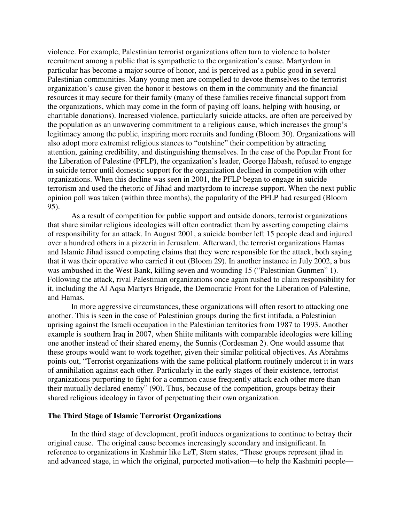violence. For example, Palestinian terrorist organizations often turn to violence to bolster recruitment among a public that is sympathetic to the organization's cause. Martyrdom in particular has become a major source of honor, and is perceived as a public good in several Palestinian communities. Many young men are compelled to devote themselves to the terrorist organization's cause given the honor it bestows on them in the community and the financial resources it may secure for their family (many of these families receive financial support from the organizations, which may come in the form of paying off loans, helping with housing, or charitable donations). Increased violence, particularly suicide attacks, are often are perceived by the population as an unwavering commitment to a religious cause, which increases the group's legitimacy among the public, inspiring more recruits and funding (Bloom 30). Organizations will also adopt more extremist religious stances to "outshine" their competition by attracting attention, gaining credibility, and distinguishing themselves. In the case of the Popular Front for the Liberation of Palestine (PFLP), the organization's leader, George Habash, refused to engage in suicide terror until domestic support for the organization declined in competition with other organizations. When this decline was seen in 2001, the PFLP began to engage in suicide terrorism and used the rhetoric of Jihad and martyrdom to increase support. When the next public opinion poll was taken (within three months), the popularity of the PFLP had resurged (Bloom 95).

 As a result of competition for public support and outside donors, terrorist organizations that share similar religious ideologies will often contradict them by asserting competing claims of responsibility for an attack. In August 2001, a suicide bomber left 15 people dead and injured over a hundred others in a pizzeria in Jerusalem. Afterward, the terrorist organizations Hamas and Islamic Jihad issued competing claims that they were responsible for the attack, both saying that it was their operative who carried it out (Bloom 29). In another instance in July 2002, a bus was ambushed in the West Bank, killing seven and wounding 15 ("Palestinian Gunmen" 1). Following the attack, rival Palestinian organizations once again rushed to claim responsibility for it, including the Al Aqsa Martyrs Brigade, the Democratic Front for the Liberation of Palestine, and Hamas.

In more aggressive circumstances, these organizations will often resort to attacking one another. This is seen in the case of Palestinian groups during the first intifada, a Palestinian uprising against the Israeli occupation in the Palestinian territories from 1987 to 1993. Another example is southern Iraq in 2007, when Shiite militants with comparable ideologies were killing one another instead of their shared enemy, the Sunnis (Cordesman 2). One would assume that these groups would want to work together, given their similar political objectives. As Abrahms points out, "Terrorist organizations with the same political platform routinely undercut it in wars of annihilation against each other. Particularly in the early stages of their existence, terrorist organizations purporting to fight for a common cause frequently attack each other more than their mutually declared enemy" (90). Thus, because of the competition, groups betray their shared religious ideology in favor of perpetuating their own organization.

#### **The Third Stage of Islamic Terrorist Organizations**

 In the third stage of development, profit induces organizations to continue to betray their original cause. The original cause becomes increasingly secondary and insignificant. In reference to organizations in Kashmir like LeT, Stern states, "These groups represent jihad in and advanced stage, in which the original, purported motivation—to help the Kashmiri people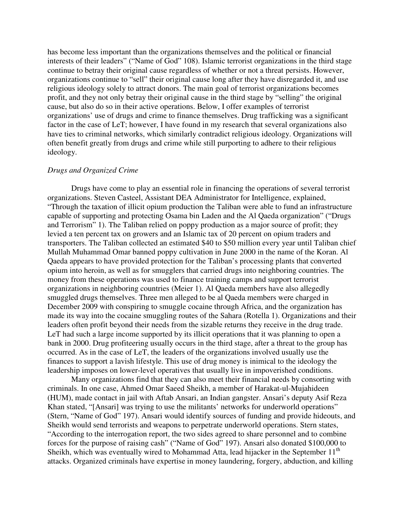has become less important than the organizations themselves and the political or financial interests of their leaders" ("Name of God" 108). Islamic terrorist organizations in the third stage continue to betray their original cause regardless of whether or not a threat persists. However, organizations continue to "sell" their original cause long after they have disregarded it, and use religious ideology solely to attract donors. The main goal of terrorist organizations becomes profit, and they not only betray their original cause in the third stage by "selling" the original cause, but also do so in their active operations. Below, I offer examples of terrorist organizations' use of drugs and crime to finance themselves. Drug trafficking was a significant factor in the case of LeT; however, I have found in my research that several organizations also have ties to criminal networks, which similarly contradict religious ideology. Organizations will often benefit greatly from drugs and crime while still purporting to adhere to their religious ideology.

#### *Drugs and Organized Crime*

 Drugs have come to play an essential role in financing the operations of several terrorist organizations. Steven Casteel, Assistant DEA Administrator for Intelligence, explained, "Through the taxation of illicit opium production the Taliban were able to fund an infrastructure capable of supporting and protecting Osama bin Laden and the Al Qaeda organization" ("Drugs and Terrorism" 1). The Taliban relied on poppy production as a major source of profit; they levied a ten percent tax on growers and an Islamic tax of 20 percent on opium traders and transporters. The Taliban collected an estimated \$40 to \$50 million every year until Taliban chief Mullah Muhammad Omar banned poppy cultivation in June 2000 in the name of the Koran. Al Qaeda appears to have provided protection for the Taliban's processing plants that converted opium into heroin, as well as for smugglers that carried drugs into neighboring countries. The money from these operations was used to finance training camps and support terrorist organizations in neighboring countries (Meier 1). Al Qaeda members have also allegedly smuggled drugs themselves. Three men alleged to be al Qaeda members were charged in December 2009 with conspiring to smuggle cocaine through Africa, and the organization has made its way into the cocaine smuggling routes of the Sahara (Rotella 1). Organizations and their leaders often profit beyond their needs from the sizable returns they receive in the drug trade. LeT had such a large income supported by its illicit operations that it was planning to open a bank in 2000. Drug profiteering usually occurs in the third stage, after a threat to the group has occurred. As in the case of LeT, the leaders of the organizations involved usually use the finances to support a lavish lifestyle. This use of drug money is inimical to the ideology the leadership imposes on lower-level operatives that usually live in impoverished conditions.

 Many organizations find that they can also meet their financial needs by consorting with criminals. In one case, Ahmed Omar Saeed Sheikh, a member of Harakat-ul-Mujahideen (HUM), made contact in jail with Aftab Ansari, an Indian gangster. Ansari's deputy Asif Reza Khan stated, "[Ansari] was trying to use the militants' networks for underworld operations" (Stern, "Name of God" 197). Ansari would identify sources of funding and provide hideouts, and Sheikh would send terrorists and weapons to perpetrate underworld operations. Stern states, "According to the interrogation report, the two sides agreed to share personnel and to combine forces for the purpose of raising cash" ("Name of God" 197). Ansari also donated \$100,000 to Sheikh, which was eventually wired to Mohammad Atta, lead hijacker in the September  $11<sup>th</sup>$ attacks. Organized criminals have expertise in money laundering, forgery, abduction, and killing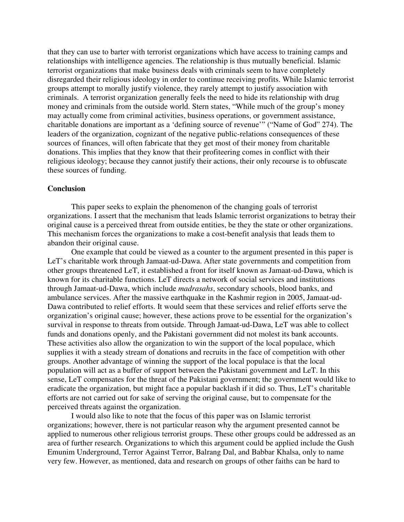that they can use to barter with terrorist organizations which have access to training camps and relationships with intelligence agencies. The relationship is thus mutually beneficial. Islamic terrorist organizations that make business deals with criminals seem to have completely disregarded their religious ideology in order to continue receiving profits. While Islamic terrorist groups attempt to morally justify violence, they rarely attempt to justify association with criminals. A terrorist organization generally feels the need to hide its relationship with drug money and criminals from the outside world. Stern states, "While much of the group's money may actually come from criminal activities, business operations, or government assistance, charitable donations are important as a 'defining source of revenue'" ("Name of God" 274). The leaders of the organization, cognizant of the negative public-relations consequences of these sources of finances, will often fabricate that they get most of their money from charitable donations. This implies that they know that their profiteering comes in conflict with their religious ideology; because they cannot justify their actions, their only recourse is to obfuscate these sources of funding.

#### **Conclusion**

 This paper seeks to explain the phenomenon of the changing goals of terrorist organizations. I assert that the mechanism that leads Islamic terrorist organizations to betray their original cause is a perceived threat from outside entities, be they the state or other organizations. This mechanism forces the organizations to make a cost-benefit analysis that leads them to abandon their original cause.

 One example that could be viewed as a counter to the argument presented in this paper is LeT's charitable work through Jamaat-ud-Dawa. After state governments and competition from other groups threatened LeT, it established a front for itself known as Jamaat-ud-Dawa, which is known for its charitable functions. LeT directs a network of social services and institutions through Jamaat-ud-Dawa, which include *madrasahs*, secondary schools, blood banks, and ambulance services. After the massive earthquake in the Kashmir region in 2005, Jamaat-ud-Dawa contributed to relief efforts. It would seem that these services and relief efforts serve the organization's original cause; however, these actions prove to be essential for the organization's survival in response to threats from outside. Through Jamaat-ud-Dawa, LeT was able to collect funds and donations openly, and the Pakistani government did not molest its bank accounts. These activities also allow the organization to win the support of the local populace, which supplies it with a steady stream of donations and recruits in the face of competition with other groups. Another advantage of winning the support of the local populace is that the local population will act as a buffer of support between the Pakistani government and LeT. In this sense, LeT compensates for the threat of the Pakistani government; the government would like to eradicate the organization, but might face a popular backlash if it did so. Thus, LeT's charitable efforts are not carried out for sake of serving the original cause, but to compensate for the perceived threats against the organization.

 I would also like to note that the focus of this paper was on Islamic terrorist organizations; however, there is not particular reason why the argument presented cannot be applied to numerous other religious terrorist groups. These other groups could be addressed as an area of further research. Organizations to which this argument could be applied include the Gush Emunim Underground, Terror Against Terror, Balrang Dal, and Babbar Khalsa, only to name very few. However, as mentioned, data and research on groups of other faiths can be hard to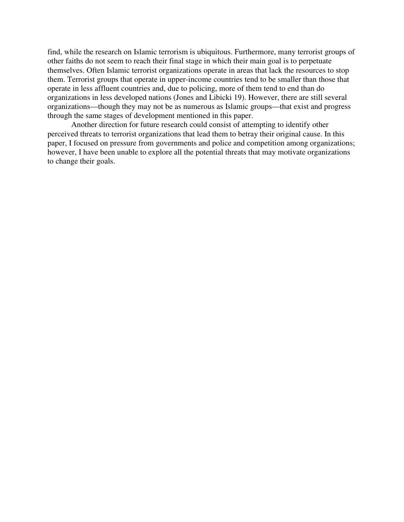find, while the research on Islamic terrorism is ubiquitous. Furthermore, many terrorist groups of other faiths do not seem to reach their final stage in which their main goal is to perpetuate themselves. Often Islamic terrorist organizations operate in areas that lack the resources to stop them. Terrorist groups that operate in upper-income countries tend to be smaller than those that operate in less affluent countries and, due to policing, more of them tend to end than do organizations in less developed nations (Jones and Libicki 19). However, there are still several organizations—though they may not be as numerous as Islamic groups—that exist and progress through the same stages of development mentioned in this paper.

 Another direction for future research could consist of attempting to identify other perceived threats to terrorist organizations that lead them to betray their original cause. In this paper, I focused on pressure from governments and police and competition among organizations; however, I have been unable to explore all the potential threats that may motivate organizations to change their goals.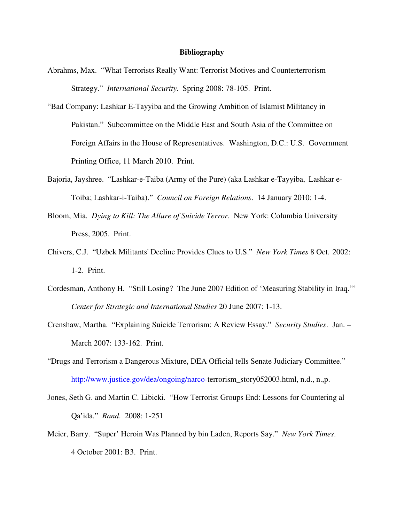#### **Bibliography**

- Abrahms, Max. "What Terrorists Really Want: Terrorist Motives and Counterterrorism Strategy." *International Security*. Spring 2008: 78-105. Print.
- "Bad Company: Lashkar E-Tayyiba and the Growing Ambition of Islamist Militancy in Pakistan." Subcommittee on the Middle East and South Asia of the Committee on Foreign Affairs in the House of Representatives. Washington, D.C.: U.S. Government Printing Office, 11 March 2010. Print.
- Bajoria, Jayshree. "Lashkar-e-Taiba (Army of the Pure) (aka Lashkar e-Tayyiba, Lashkar e- Toiba; Lashkar-i-Taiba)." *Council on Foreign Relations*. 14 January 2010: 1-4.
- Bloom, Mia. *Dying to Kill: The Allure of Suicide Terror*. New York: Columbia University Press, 2005. Print.
- Chivers, C.J. "Uzbek Militants' Decline Provides Clues to U.S." *New York Times* 8 Oct. 2002: 1-2. Print.
- Cordesman, Anthony H. "Still Losing? The June 2007 Edition of 'Measuring Stability in Iraq.'" *Center for Strategic and International Studies* 20 June 2007: 1-13.
- Crenshaw, Martha. "Explaining Suicide Terrorism: A Review Essay." *Security Studies*. Jan. March 2007: 133-162. Print.
- "Drugs and Terrorism a Dangerous Mixture, DEA Official tells Senate Judiciary Committee." http://www.justice.gov/dea/ongoing/narco-terrorism\_story052003.html, n.d., n.,p.
- Jones, Seth G. and Martin C. Libicki. "How Terrorist Groups End: Lessons for Countering al Qa'ida." *Rand*. 2008: 1-251
- Meier, Barry. "Super' Heroin Was Planned by bin Laden, Reports Say." *New York Times*. 4 October 2001: B3. Print.